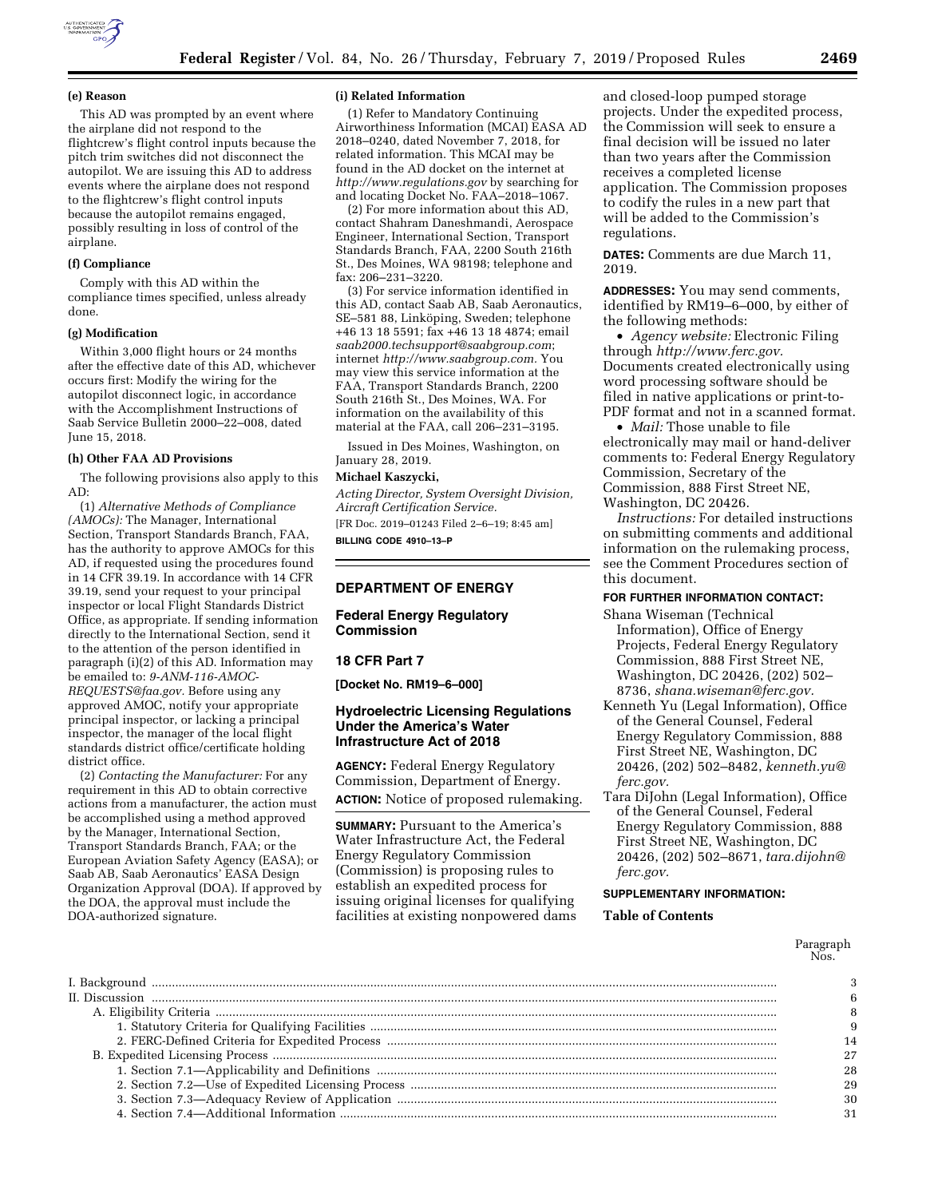

### **(e) Reason**

This AD was prompted by an event where the airplane did not respond to the flightcrew's flight control inputs because the pitch trim switches did not disconnect the autopilot. We are issuing this AD to address events where the airplane does not respond to the flightcrew's flight control inputs because the autopilot remains engaged, possibly resulting in loss of control of the airplane.

### **(f) Compliance**

Comply with this AD within the compliance times specified, unless already done.

## **(g) Modification**

Within 3,000 flight hours or 24 months after the effective date of this AD, whichever occurs first: Modify the wiring for the autopilot disconnect logic, in accordance with the Accomplishment Instructions of Saab Service Bulletin 2000–22–008, dated June 15, 2018.

### **(h) Other FAA AD Provisions**

The following provisions also apply to this AD:

(1) *Alternative Methods of Compliance (AMOCs):* The Manager, International Section, Transport Standards Branch, FAA, has the authority to approve AMOCs for this AD, if requested using the procedures found in 14 CFR 39.19. In accordance with 14 CFR 39.19, send your request to your principal inspector or local Flight Standards District Office, as appropriate. If sending information directly to the International Section, send it to the attention of the person identified in paragraph (i)(2) of this AD. Information may be emailed to: *[9-ANM-116-AMOC-](mailto:9-ANM-116-AMOC-REQUESTS@faa.gov)[REQUESTS@faa.gov.](mailto:9-ANM-116-AMOC-REQUESTS@faa.gov)* Before using any approved AMOC, notify your appropriate principal inspector, or lacking a principal inspector, the manager of the local flight standards district office/certificate holding district office.

(2) *Contacting the Manufacturer:* For any requirement in this AD to obtain corrective actions from a manufacturer, the action must be accomplished using a method approved by the Manager, International Section, Transport Standards Branch, FAA; or the European Aviation Safety Agency (EASA); or Saab AB, Saab Aeronautics' EASA Design Organization Approval (DOA). If approved by the DOA, the approval must include the DOA-authorized signature.

#### **(i) Related Information**

(1) Refer to Mandatory Continuing Airworthiness Information (MCAI) EASA AD 2018–0240, dated November 7, 2018, for related information. This MCAI may be found in the AD docket on the internet at *<http://www.regulations.gov>*by searching for and locating Docket No. FAA–2018–1067.

(2) For more information about this AD, contact Shahram Daneshmandi, Aerospace Engineer, International Section, Transport Standards Branch, FAA, 2200 South 216th St., Des Moines, WA 98198; telephone and fax: 206–231–3220.

(3) For service information identified in this AD, contact Saab AB, Saab Aeronautics, SE-581 88, Linköping, Sweden; telephone +46 13 18 5591; fax +46 13 18 4874; email *[saab2000.techsupport@saabgroup.com](mailto:saab2000.techsupport@saabgroup.com)*; internet *[http://www.saabgroup.com.](http://www.saabgroup.com)* You may view this service information at the FAA, Transport Standards Branch, 2200 South 216th St., Des Moines, WA. For information on the availability of this material at the FAA, call 206–231–3195.

Issued in Des Moines, Washington, on January 28, 2019.

### **Michael Kaszycki,**

*Acting Director, System Oversight Division, Aircraft Certification Service.*  [FR Doc. 2019–01243 Filed 2–6–19; 8:45 am]

**BILLING CODE 4910–13–P** 

## **DEPARTMENT OF ENERGY**

### **Federal Energy Regulatory Commission**

### **18 CFR Part 7**

**[Docket No. RM19–6–000]** 

### **Hydroelectric Licensing Regulations Under the America's Water Infrastructure Act of 2018**

**AGENCY:** Federal Energy Regulatory Commission, Department of Energy. **ACTION:** Notice of proposed rulemaking.

**SUMMARY:** Pursuant to the America's Water Infrastructure Act, the Federal Energy Regulatory Commission (Commission) is proposing rules to establish an expedited process for issuing original licenses for qualifying facilities at existing nonpowered dams and closed-loop pumped storage projects. Under the expedited process, the Commission will seek to ensure a final decision will be issued no later than two years after the Commission receives a completed license application. The Commission proposes to codify the rules in a new part that will be added to the Commission's regulations.

**DATES:** Comments are due March 11, 2019.

**ADDRESSES:** You may send comments, identified by RM19–6–000, by either of the following methods:

• *Agency website:* Electronic Filing through *[http://www.ferc.gov.](http://www.ferc.gov)*  Documents created electronically using word processing software should be filed in native applications or print-to-PDF format and not in a scanned format.

• *Mail:* Those unable to file electronically may mail or hand-deliver comments to: Federal Energy Regulatory Commission, Secretary of the Commission, 888 First Street NE, Washington, DC 20426.

*Instructions:* For detailed instructions on submitting comments and additional information on the rulemaking process, see the Comment Procedures section of this document.

## **FOR FURTHER INFORMATION CONTACT:**

- Shana Wiseman (Technical Information), Office of Energy Projects, Federal Energy Regulatory Commission, 888 First Street NE, Washington, DC 20426, (202) 502– 8736, *[shana.wiseman@ferc.gov.](mailto:shana.wiseman@ferc.gov)*
- Kenneth Yu (Legal Information), Office of the General Counsel, Federal Energy Regulatory Commission, 888 First Street NE, Washington, DC 20426, (202) 502–8482, *[kenneth.yu@](mailto:kenneth.yu@ferc.gov) [ferc.gov.](mailto:kenneth.yu@ferc.gov)*
- Tara DiJohn (Legal Information), Office of the General Counsel, Federal Energy Regulatory Commission, 888 First Street NE, Washington, DC 20426, (202) 502–8671, *[tara.dijohn@](mailto:tara.dijohn@ferc.gov) [ferc.gov.](mailto:tara.dijohn@ferc.gov)*

### **SUPPLEMENTARY INFORMATION:**

## **Table of Contents**

| $II.$ Discussion $\ldots$ $\ldots$ $\ldots$ $\ldots$ $\ldots$ $\ldots$ $\ldots$ $\ldots$ $\ldots$ $\ldots$ $\ldots$ $\ldots$ $\ldots$ $\ldots$ $\ldots$ $\ldots$ $\ldots$ $\ldots$ $\ldots$ $\ldots$ $\ldots$ $\ldots$ $\ldots$ $\ldots$ $\ldots$ $\ldots$ $\ldots$ $\ldots$ $\ldots$ $\ldots$ $\ldots$ $\ldots$ $\ldots$ $\ldots$ |    |
|------------------------------------------------------------------------------------------------------------------------------------------------------------------------------------------------------------------------------------------------------------------------------------------------------------------------------------|----|
|                                                                                                                                                                                                                                                                                                                                    |    |
|                                                                                                                                                                                                                                                                                                                                    |    |
|                                                                                                                                                                                                                                                                                                                                    |    |
|                                                                                                                                                                                                                                                                                                                                    |    |
|                                                                                                                                                                                                                                                                                                                                    | 28 |
|                                                                                                                                                                                                                                                                                                                                    | 29 |
|                                                                                                                                                                                                                                                                                                                                    |    |
|                                                                                                                                                                                                                                                                                                                                    |    |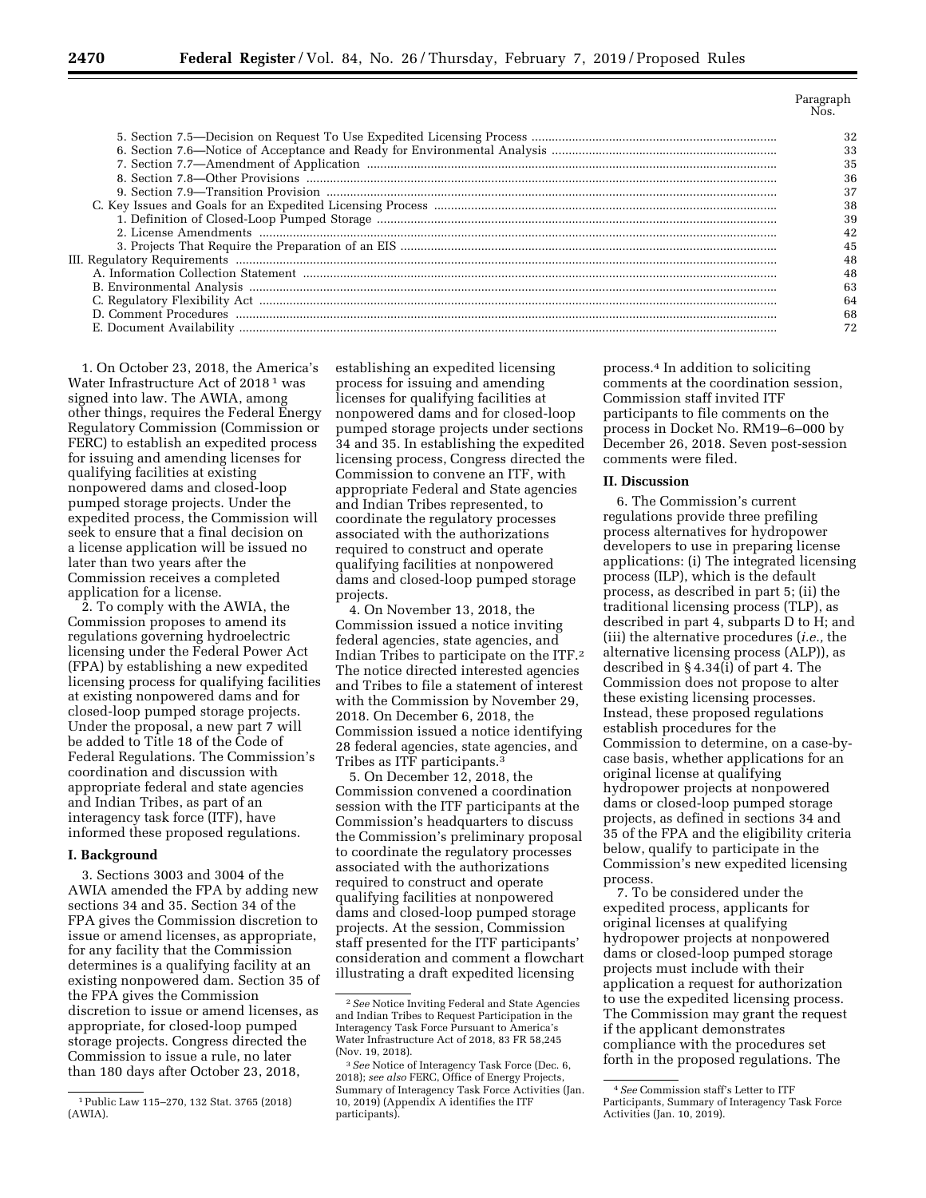Paragraph Nos.

| 33 |
|----|
|    |
|    |
|    |
|    |
|    |
|    |
|    |
|    |
|    |
| 63 |
|    |
|    |
|    |

1. On October 23, 2018, the America's Water Infrastructure Act of 2018<sup>1</sup> was signed into law. The AWIA, among other things, requires the Federal Energy Regulatory Commission (Commission or FERC) to establish an expedited process for issuing and amending licenses for qualifying facilities at existing nonpowered dams and closed-loop pumped storage projects. Under the expedited process, the Commission will seek to ensure that a final decision on a license application will be issued no later than two years after the Commission receives a completed application for a license.

2. To comply with the AWIA, the Commission proposes to amend its regulations governing hydroelectric licensing under the Federal Power Act (FPA) by establishing a new expedited licensing process for qualifying facilities at existing nonpowered dams and for closed-loop pumped storage projects. Under the proposal, a new part 7 will be added to Title 18 of the Code of Federal Regulations. The Commission's coordination and discussion with appropriate federal and state agencies and Indian Tribes, as part of an interagency task force (ITF), have informed these proposed regulations.

## **I. Background**

3. Sections 3003 and 3004 of the AWIA amended the FPA by adding new sections 34 and 35. Section 34 of the FPA gives the Commission discretion to issue or amend licenses, as appropriate, for any facility that the Commission determines is a qualifying facility at an existing nonpowered dam. Section 35 of the FPA gives the Commission discretion to issue or amend licenses, as appropriate, for closed-loop pumped storage projects. Congress directed the Commission to issue a rule, no later than 180 days after October 23, 2018,

establishing an expedited licensing process for issuing and amending licenses for qualifying facilities at nonpowered dams and for closed-loop pumped storage projects under sections 34 and 35. In establishing the expedited licensing process, Congress directed the Commission to convene an ITF, with appropriate Federal and State agencies and Indian Tribes represented, to coordinate the regulatory processes associated with the authorizations required to construct and operate qualifying facilities at nonpowered dams and closed-loop pumped storage projects.

4. On November 13, 2018, the Commission issued a notice inviting federal agencies, state agencies, and Indian Tribes to participate on the ITF.2 The notice directed interested agencies and Tribes to file a statement of interest with the Commission by November 29, 2018. On December 6, 2018, the Commission issued a notice identifying 28 federal agencies, state agencies, and Tribes as ITF participants.3

5. On December 12, 2018, the Commission convened a coordination session with the ITF participants at the Commission's headquarters to discuss the Commission's preliminary proposal to coordinate the regulatory processes associated with the authorizations required to construct and operate qualifying facilities at nonpowered dams and closed-loop pumped storage projects. At the session, Commission staff presented for the ITF participants' consideration and comment a flowchart illustrating a draft expedited licensing

process.4 In addition to soliciting comments at the coordination session, Commission staff invited ITF participants to file comments on the process in Docket No. RM19–6–000 by December 26, 2018. Seven post-session comments were filed.

## **II. Discussion**

6. The Commission's current regulations provide three prefiling process alternatives for hydropower developers to use in preparing license applications: (i) The integrated licensing process (ILP), which is the default process, as described in part 5; (ii) the traditional licensing process (TLP), as described in part 4, subparts D to H; and (iii) the alternative procedures (*i.e.,* the alternative licensing process (ALP)), as described in § 4.34(i) of part 4. The Commission does not propose to alter these existing licensing processes. Instead, these proposed regulations establish procedures for the Commission to determine, on a case-bycase basis, whether applications for an original license at qualifying hydropower projects at nonpowered dams or closed-loop pumped storage projects, as defined in sections 34 and 35 of the FPA and the eligibility criteria below, qualify to participate in the Commission's new expedited licensing process.

7. To be considered under the expedited process, applicants for original licenses at qualifying hydropower projects at nonpowered dams or closed-loop pumped storage projects must include with their application a request for authorization to use the expedited licensing process. The Commission may grant the request if the applicant demonstrates compliance with the procedures set forth in the proposed regulations. The

<sup>1</sup>Public Law 115–270, 132 Stat. 3765 (2018) (AWIA).

<sup>2</sup>*See* Notice Inviting Federal and State Agencies and Indian Tribes to Request Participation in the Interagency Task Force Pursuant to America's Water Infrastructure Act of 2018, 83 FR 58,245 (Nov. 19, 2018).

<sup>3</sup>*See* Notice of Interagency Task Force (Dec. 6, 2018); *see also* FERC, Office of Energy Projects, Summary of Interagency Task Force Activities (Jan. 10, 2019) (Appendix A identifies the ITF participants).

<sup>4</sup>*See* Commission staff's Letter to ITF Participants, Summary of Interagency Task Force Activities (Jan. 10, 2019).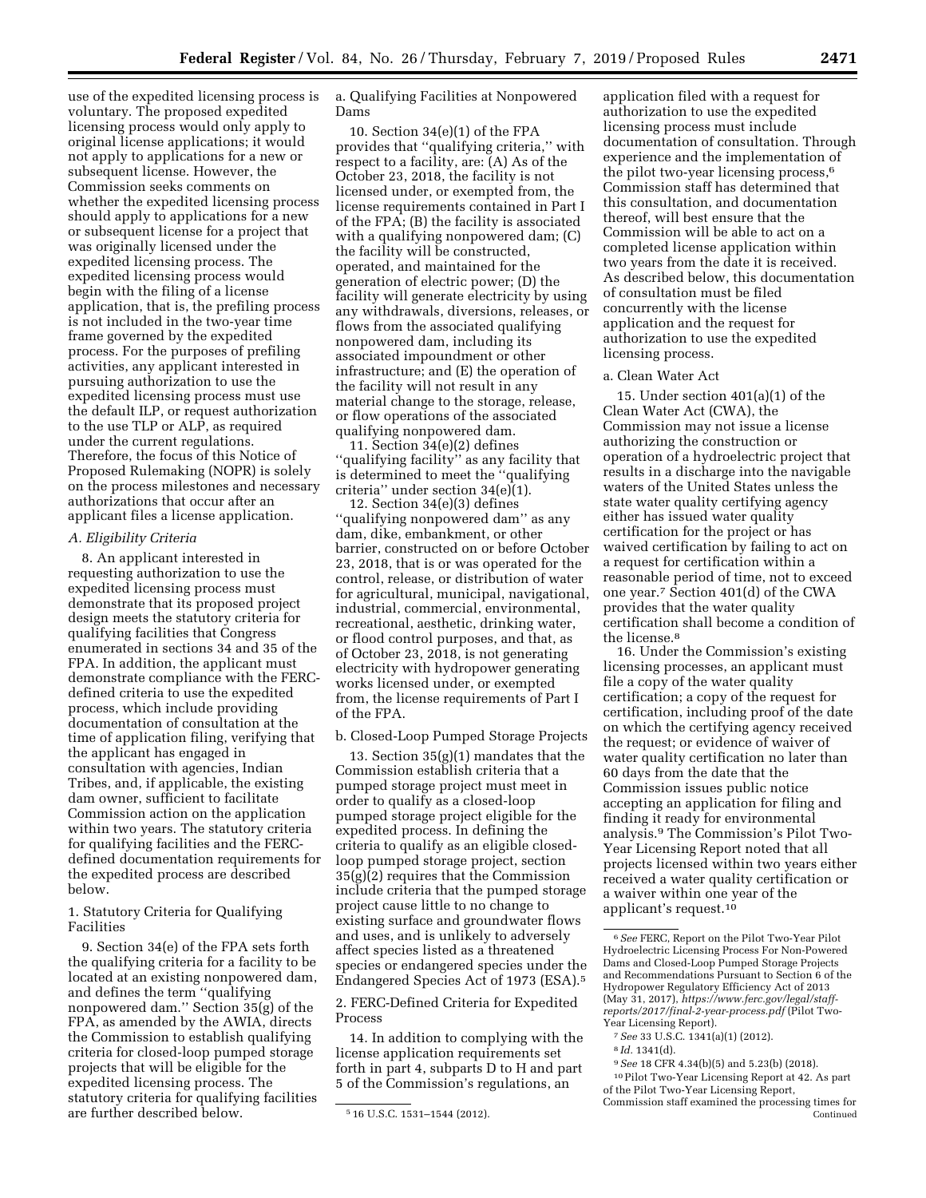use of the expedited licensing process is voluntary. The proposed expedited licensing process would only apply to original license applications; it would not apply to applications for a new or subsequent license. However, the Commission seeks comments on whether the expedited licensing process should apply to applications for a new or subsequent license for a project that was originally licensed under the expedited licensing process. The expedited licensing process would begin with the filing of a license application, that is, the prefiling process is not included in the two-year time frame governed by the expedited process. For the purposes of prefiling activities, any applicant interested in pursuing authorization to use the expedited licensing process must use the default ILP, or request authorization to the use TLP or ALP, as required under the current regulations. Therefore, the focus of this Notice of Proposed Rulemaking (NOPR) is solely on the process milestones and necessary authorizations that occur after an applicant files a license application.

### *A. Eligibility Criteria*

8. An applicant interested in requesting authorization to use the expedited licensing process must demonstrate that its proposed project design meets the statutory criteria for qualifying facilities that Congress enumerated in sections 34 and 35 of the FPA. In addition, the applicant must demonstrate compliance with the FERCdefined criteria to use the expedited process, which include providing documentation of consultation at the time of application filing, verifying that the applicant has engaged in consultation with agencies, Indian Tribes, and, if applicable, the existing dam owner, sufficient to facilitate Commission action on the application within two years. The statutory criteria for qualifying facilities and the FERCdefined documentation requirements for the expedited process are described below.

## 1. Statutory Criteria for Qualifying Facilities

9. Section 34(e) of the FPA sets forth the qualifying criteria for a facility to be located at an existing nonpowered dam, and defines the term ''qualifying nonpowered dam.'' Section 35(g) of the FPA, as amended by the AWIA, directs the Commission to establish qualifying criteria for closed-loop pumped storage projects that will be eligible for the expedited licensing process. The statutory criteria for qualifying facilities are further described below.

a. Qualifying Facilities at Nonpowered Dams

10. Section 34(e)(1) of the FPA provides that ''qualifying criteria,'' with respect to a facility, are: (A) As of the October 23, 2018, the facility is not licensed under, or exempted from, the license requirements contained in Part I of the FPA; (B) the facility is associated with a qualifying nonpowered dam; (C) the facility will be constructed, operated, and maintained for the generation of electric power; (D) the facility will generate electricity by using any withdrawals, diversions, releases, or flows from the associated qualifying nonpowered dam, including its associated impoundment or other infrastructure; and (E) the operation of the facility will not result in any material change to the storage, release, or flow operations of the associated qualifying nonpowered dam.

11. Section 34(e)(2) defines ''qualifying facility'' as any facility that is determined to meet the ''qualifying criteria'' under section 34(e)(1).

12. Section 34(e)(3) defines ''qualifying nonpowered dam'' as any dam, dike, embankment, or other barrier, constructed on or before October 23, 2018, that is or was operated for the control, release, or distribution of water for agricultural, municipal, navigational, industrial, commercial, environmental, recreational, aesthetic, drinking water, or flood control purposes, and that, as of October 23, 2018, is not generating electricity with hydropower generating works licensed under, or exempted from, the license requirements of Part I of the FPA.

### b. Closed-Loop Pumped Storage Projects

13. Section 35(g)(1) mandates that the Commission establish criteria that a pumped storage project must meet in order to qualify as a closed-loop pumped storage project eligible for the expedited process. In defining the criteria to qualify as an eligible closedloop pumped storage project, section 35(g)(2) requires that the Commission include criteria that the pumped storage project cause little to no change to existing surface and groundwater flows and uses, and is unlikely to adversely affect species listed as a threatened species or endangered species under the Endangered Species Act of 1973 (ESA).5

2. FERC-Defined Criteria for Expedited Process

14. In addition to complying with the license application requirements set forth in part 4, subparts D to H and part 5 of the Commission's regulations, an

application filed with a request for authorization to use the expedited licensing process must include documentation of consultation. Through experience and the implementation of the pilot two-year licensing process,<sup>6</sup> Commission staff has determined that this consultation, and documentation thereof, will best ensure that the Commission will be able to act on a completed license application within two years from the date it is received. As described below, this documentation of consultation must be filed concurrently with the license application and the request for authorization to use the expedited licensing process.

### a. Clean Water Act

15. Under section 401(a)(1) of the Clean Water Act (CWA), the Commission may not issue a license authorizing the construction or operation of a hydroelectric project that results in a discharge into the navigable waters of the United States unless the state water quality certifying agency either has issued water quality certification for the project or has waived certification by failing to act on a request for certification within a reasonable period of time, not to exceed one year.7 Section 401(d) of the CWA provides that the water quality certification shall become a condition of the license.8

16. Under the Commission's existing licensing processes, an applicant must file a copy of the water quality certification; a copy of the request for certification, including proof of the date on which the certifying agency received the request; or evidence of waiver of water quality certification no later than 60 days from the date that the Commission issues public notice accepting an application for filing and finding it ready for environmental analysis.9 The Commission's Pilot Two-Year Licensing Report noted that all projects licensed within two years either received a water quality certification or a waiver within one year of the applicant's request.10

10Pilot Two-Year Licensing Report at 42. As part of the Pilot Two-Year Licensing Report, Commission staff examined the processing times for

Continued

<sup>5</sup> 16 U.S.C. 1531–1544 (2012).

<sup>6</sup>*See* FERC, Report on the Pilot Two-Year Pilot Hydroelectric Licensing Process For Non-Powered Dams and Closed-Loop Pumped Storage Projects and Recommendations Pursuant to Section 6 of the Hydropower Regulatory Efficiency Act of 2013 (May 31, 2017), *[https://www.ferc.gov/legal/staff](https://www.ferc.gov/legal/staff-reports/2017/final-2-year-process.pdf)[reports/2017/final-2-year-process.pdf](https://www.ferc.gov/legal/staff-reports/2017/final-2-year-process.pdf)* (Pilot Two-Year Licensing Report).

<sup>7</sup>*See* 33 U.S.C. 1341(a)(1) (2012).

<sup>8</sup> *Id.* 1341(d).

<sup>9</sup>*See* 18 CFR 4.34(b)(5) and 5.23(b) (2018).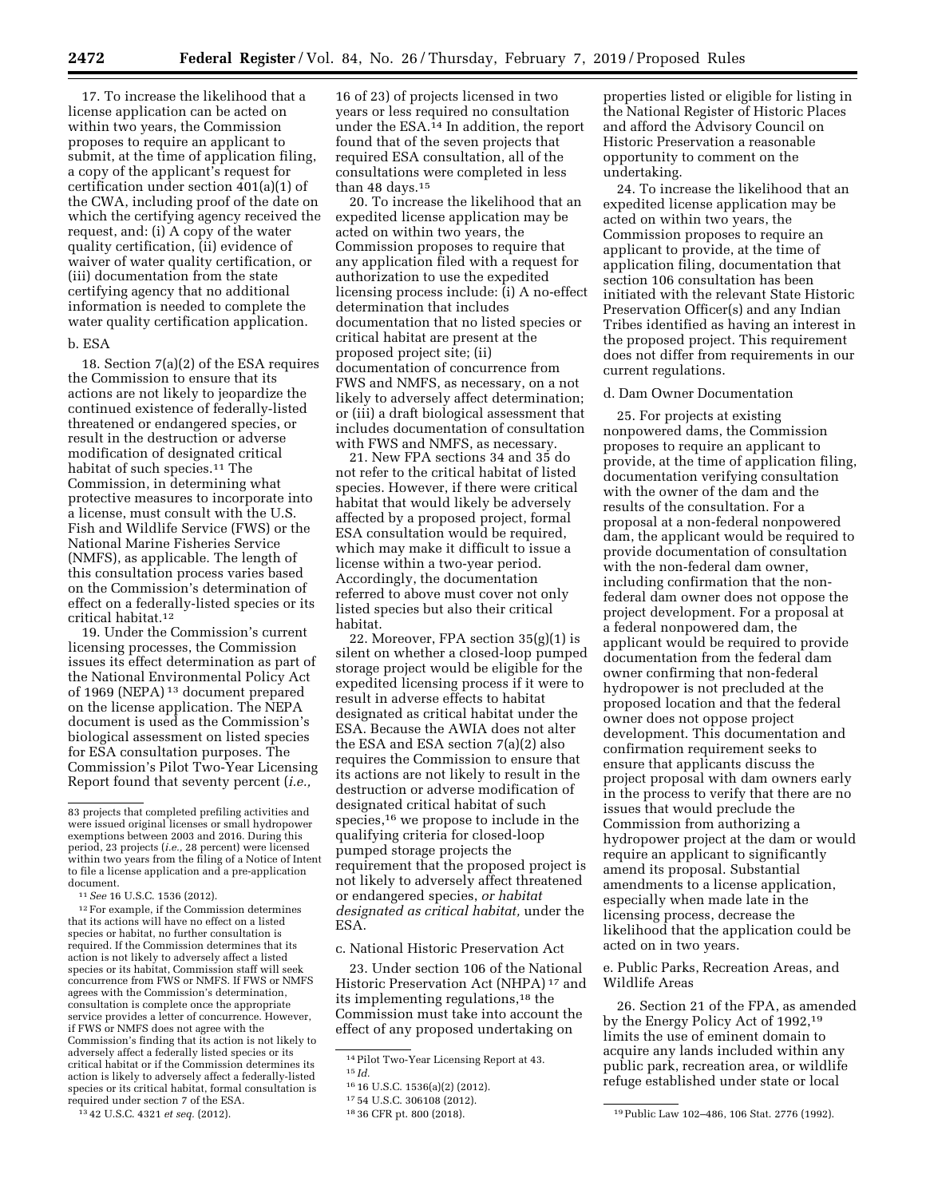17. To increase the likelihood that a license application can be acted on within two years, the Commission proposes to require an applicant to submit, at the time of application filing, a copy of the applicant's request for certification under section 401(a)(1) of the CWA, including proof of the date on which the certifying agency received the request, and: (i) A copy of the water quality certification, (ii) evidence of waiver of water quality certification, or (iii) documentation from the state certifying agency that no additional information is needed to complete the water quality certification application.

### b. ESA

18. Section 7(a)(2) of the ESA requires the Commission to ensure that its actions are not likely to jeopardize the continued existence of federally-listed threatened or endangered species, or result in the destruction or adverse modification of designated critical habitat of such species.11 The Commission, in determining what protective measures to incorporate into a license, must consult with the U.S. Fish and Wildlife Service (FWS) or the National Marine Fisheries Service (NMFS), as applicable. The length of this consultation process varies based on the Commission's determination of effect on a federally-listed species or its critical habitat.12

19. Under the Commission's current licensing processes, the Commission issues its effect determination as part of the National Environmental Policy Act of 1969 (NEPA) 13 document prepared on the license application. The NEPA document is used as the Commission's biological assessment on listed species for ESA consultation purposes. The Commission's Pilot Two-Year Licensing Report found that seventy percent (*i.e.,* 

document.<br><sup>11</sup> *See* 16 U.S.C. 1536 (2012).<br><sup>12</sup> For example, if the Commission determines that its actions will have no effect on a listed species or habitat, no further consultation is required. If the Commission determines that its action is not likely to adversely affect a listed species or its habitat, Commission staff will seek concurrence from FWS or NMFS. If FWS or NMFS agrees with the Commission's determination, consultation is complete once the appropriate service provides a letter of concurrence. However, if FWS or NMFS does not agree with the Commission's finding that its action is not likely to adversely affect a federally listed species or its critical habitat or if the Commission determines its action is likely to adversely affect a federally-listed species or its critical habitat, formal consultation is required under section 7 of the ESA.

13 42 U.S.C. 4321 *et seq.* (2012).

16 of 23) of projects licensed in two years or less required no consultation under the ESA.14 In addition, the report found that of the seven projects that required ESA consultation, all of the consultations were completed in less than 48 days.<sup>15</sup>

20. To increase the likelihood that an expedited license application may be acted on within two years, the Commission proposes to require that any application filed with a request for authorization to use the expedited licensing process include: (i) A no-effect determination that includes documentation that no listed species or critical habitat are present at the proposed project site; (ii) documentation of concurrence from FWS and NMFS, as necessary, on a not likely to adversely affect determination; or (iii) a draft biological assessment that includes documentation of consultation with FWS and NMFS, as necessary.

21. New FPA sections 34 and 35 do not refer to the critical habitat of listed species. However, if there were critical habitat that would likely be adversely affected by a proposed project, formal ESA consultation would be required, which may make it difficult to issue a license within a two-year period. Accordingly, the documentation referred to above must cover not only listed species but also their critical habitat.

22. Moreover, FPA section 35(g)(1) is silent on whether a closed-loop pumped storage project would be eligible for the expedited licensing process if it were to result in adverse effects to habitat designated as critical habitat under the ESA. Because the AWIA does not alter the ESA and ESA section 7(a)(2) also requires the Commission to ensure that its actions are not likely to result in the destruction or adverse modification of designated critical habitat of such species,16 we propose to include in the qualifying criteria for closed-loop pumped storage projects the requirement that the proposed project is not likely to adversely affect threatened or endangered species, *or habitat designated as critical habitat,* under the ESA.

#### c. National Historic Preservation Act

23. Under section 106 of the National Historic Preservation Act (NHPA) 17 and its implementing regulations,18 the Commission must take into account the effect of any proposed undertaking on

properties listed or eligible for listing in the National Register of Historic Places and afford the Advisory Council on Historic Preservation a reasonable opportunity to comment on the undertaking.

24. To increase the likelihood that an expedited license application may be acted on within two years, the Commission proposes to require an applicant to provide, at the time of application filing, documentation that section 106 consultation has been initiated with the relevant State Historic Preservation Officer(s) and any Indian Tribes identified as having an interest in the proposed project. This requirement does not differ from requirements in our current regulations.

#### d. Dam Owner Documentation

25. For projects at existing nonpowered dams, the Commission proposes to require an applicant to provide, at the time of application filing, documentation verifying consultation with the owner of the dam and the results of the consultation. For a proposal at a non-federal nonpowered dam, the applicant would be required to provide documentation of consultation with the non-federal dam owner, including confirmation that the nonfederal dam owner does not oppose the project development. For a proposal at a federal nonpowered dam, the applicant would be required to provide documentation from the federal dam owner confirming that non-federal hydropower is not precluded at the proposed location and that the federal owner does not oppose project development. This documentation and confirmation requirement seeks to ensure that applicants discuss the project proposal with dam owners early in the process to verify that there are no issues that would preclude the Commission from authorizing a hydropower project at the dam or would require an applicant to significantly amend its proposal. Substantial amendments to a license application, especially when made late in the licensing process, decrease the likelihood that the application could be acted on in two years.

e. Public Parks, Recreation Areas, and Wildlife Areas

26. Section 21 of the FPA, as amended by the Energy Policy Act of 1992,19 limits the use of eminent domain to acquire any lands included within any public park, recreation area, or wildlife refuge established under state or local

<sup>83</sup> projects that completed prefiling activities and were issued original licenses or small hydropower exemptions between 2003 and 2016. During this period, 23 projects (*i.e.,* 28 percent) were licensed within two years from the filing of a Notice of Intent to file a license application and a pre-application

<sup>14</sup>Pilot Two-Year Licensing Report at 43.

<sup>15</sup> *Id.* 

<sup>16</sup> 16 U.S.C. 1536(a)(2) (2012).

<sup>17</sup> 54 U.S.C. 306108 (2012).

<sup>18</sup> 36 CFR pt. 800 (2018). 19Public Law 102–486, 106 Stat. 2776 (1992).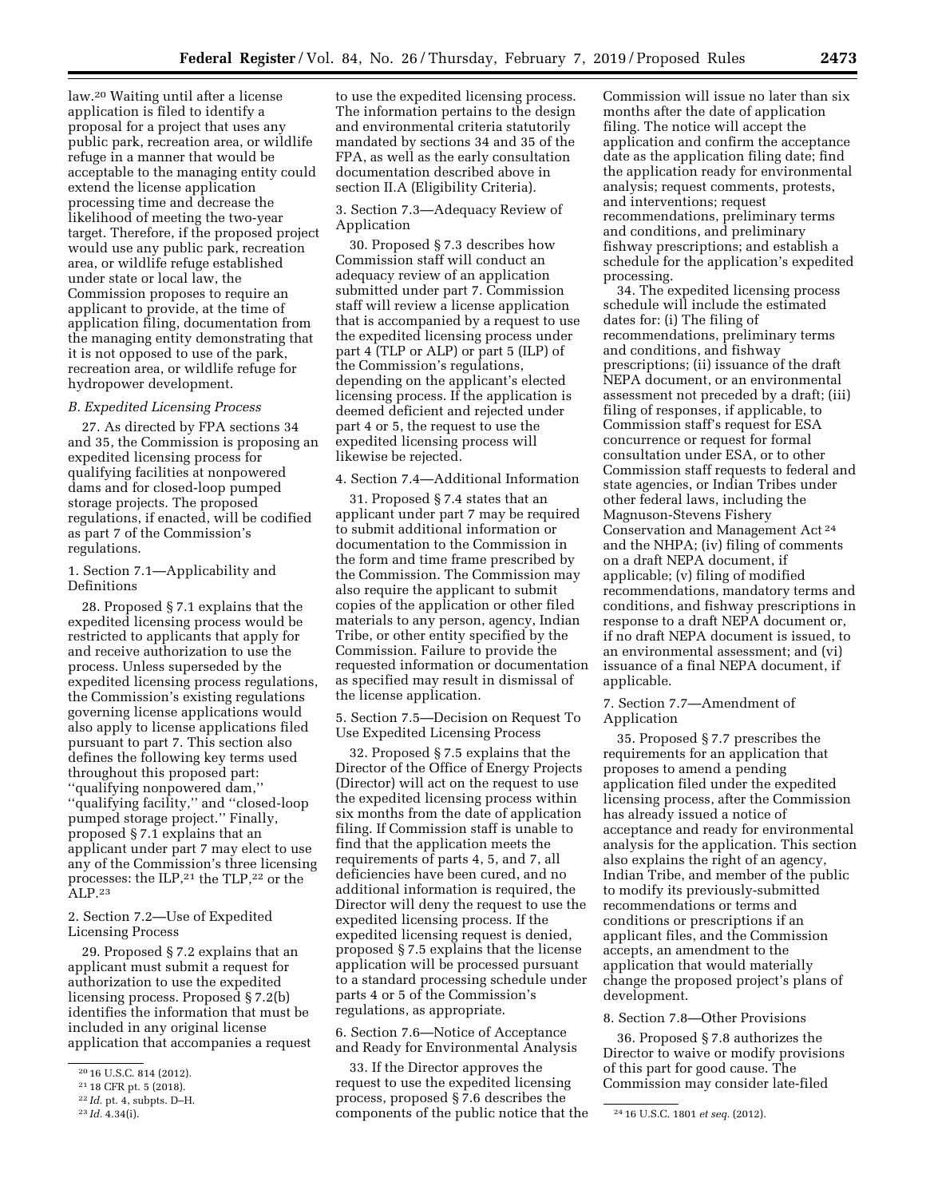law.20 Waiting until after a license application is filed to identify a proposal for a project that uses any public park, recreation area, or wildlife refuge in a manner that would be acceptable to the managing entity could extend the license application processing time and decrease the likelihood of meeting the two-year target. Therefore, if the proposed project would use any public park, recreation area, or wildlife refuge established under state or local law, the Commission proposes to require an applicant to provide, at the time of application filing, documentation from the managing entity demonstrating that it is not opposed to use of the park, recreation area, or wildlife refuge for hydropower development.

### *B. Expedited Licensing Process*

27. As directed by FPA sections 34 and 35, the Commission is proposing an expedited licensing process for qualifying facilities at nonpowered dams and for closed-loop pumped storage projects. The proposed regulations, if enacted, will be codified as part 7 of the Commission's regulations.

1. Section 7.1—Applicability and Definitions

28. Proposed § 7.1 explains that the expedited licensing process would be restricted to applicants that apply for and receive authorization to use the process. Unless superseded by the expedited licensing process regulations, the Commission's existing regulations governing license applications would also apply to license applications filed pursuant to part 7. This section also defines the following key terms used throughout this proposed part: ''qualifying nonpowered dam,'' ''qualifying facility,'' and ''closed-loop pumped storage project.'' Finally, proposed § 7.1 explains that an applicant under part 7 may elect to use any of the Commission's three licensing processes: the ILP,21 the TLP,22 or the ALP.23

2. Section 7.2—Use of Expedited Licensing Process

29. Proposed § 7.2 explains that an applicant must submit a request for authorization to use the expedited licensing process. Proposed § 7.2(b) identifies the information that must be included in any original license application that accompanies a request

to use the expedited licensing process. The information pertains to the design and environmental criteria statutorily mandated by sections 34 and 35 of the FPA, as well as the early consultation documentation described above in section II.A (Eligibility Criteria).

3. Section 7.3—Adequacy Review of Application

30. Proposed § 7.3 describes how Commission staff will conduct an adequacy review of an application submitted under part 7. Commission staff will review a license application that is accompanied by a request to use the expedited licensing process under part 4 (TLP or ALP) or part 5 (ILP) of the Commission's regulations, depending on the applicant's elected licensing process. If the application is deemed deficient and rejected under part 4 or 5, the request to use the expedited licensing process will likewise be rejected.

### 4. Section 7.4—Additional Information

31. Proposed § 7.4 states that an applicant under part 7 may be required to submit additional information or documentation to the Commission in the form and time frame prescribed by the Commission. The Commission may also require the applicant to submit copies of the application or other filed materials to any person, agency, Indian Tribe, or other entity specified by the Commission. Failure to provide the requested information or documentation as specified may result in dismissal of the license application.

5. Section 7.5—Decision on Request To Use Expedited Licensing Process

32. Proposed § 7.5 explains that the Director of the Office of Energy Projects (Director) will act on the request to use the expedited licensing process within six months from the date of application filing. If Commission staff is unable to find that the application meets the requirements of parts 4, 5, and 7, all deficiencies have been cured, and no additional information is required, the Director will deny the request to use the expedited licensing process. If the expedited licensing request is denied, proposed § 7.5 explains that the license application will be processed pursuant to a standard processing schedule under parts 4 or 5 of the Commission's regulations, as appropriate.

6. Section 7.6—Notice of Acceptance and Ready for Environmental Analysis

<sup>23</sup> *Id.* 4.34(i). **24 24 16** *Depending to the public notice that the*  $\frac{24 \text{ 16 U.S.C. 1801 } }{24 \text{ 16 U.S.C. 1801 } }$ 33. If the Director approves the request to use the expedited licensing process, proposed § 7.6 describes the

Commission will issue no later than six months after the date of application filing. The notice will accept the application and confirm the acceptance date as the application filing date; find the application ready for environmental analysis; request comments, protests, and interventions; request recommendations, preliminary terms and conditions, and preliminary fishway prescriptions; and establish a schedule for the application's expedited processing.

34. The expedited licensing process schedule will include the estimated dates for: (i) The filing of recommendations, preliminary terms and conditions, and fishway prescriptions; (ii) issuance of the draft NEPA document, or an environmental assessment not preceded by a draft; (iii) filing of responses, if applicable, to Commission staff's request for ESA concurrence or request for formal consultation under ESA, or to other Commission staff requests to federal and state agencies, or Indian Tribes under other federal laws, including the Magnuson-Stevens Fishery Conservation and Management Act 24 and the NHPA; (iv) filing of comments on a draft NEPA document, if applicable; (v) filing of modified recommendations, mandatory terms and conditions, and fishway prescriptions in response to a draft NEPA document or, if no draft NEPA document is issued, to an environmental assessment; and (vi) issuance of a final NEPA document, if applicable.

7. Section 7.7—Amendment of Application

35. Proposed § 7.7 prescribes the requirements for an application that proposes to amend a pending application filed under the expedited licensing process, after the Commission has already issued a notice of acceptance and ready for environmental analysis for the application. This section also explains the right of an agency, Indian Tribe, and member of the public to modify its previously-submitted recommendations or terms and conditions or prescriptions if an applicant files, and the Commission accepts, an amendment to the application that would materially change the proposed project's plans of development.

## 8. Section 7.8—Other Provisions

36. Proposed § 7.8 authorizes the Director to waive or modify provisions of this part for good cause. The Commission may consider late-filed

<sup>20</sup> 16 U.S.C. 814 (2012).

<sup>21</sup> 18 CFR pt. 5 (2018).

<sup>22</sup> *Id.* pt. 4, subpts. D–H.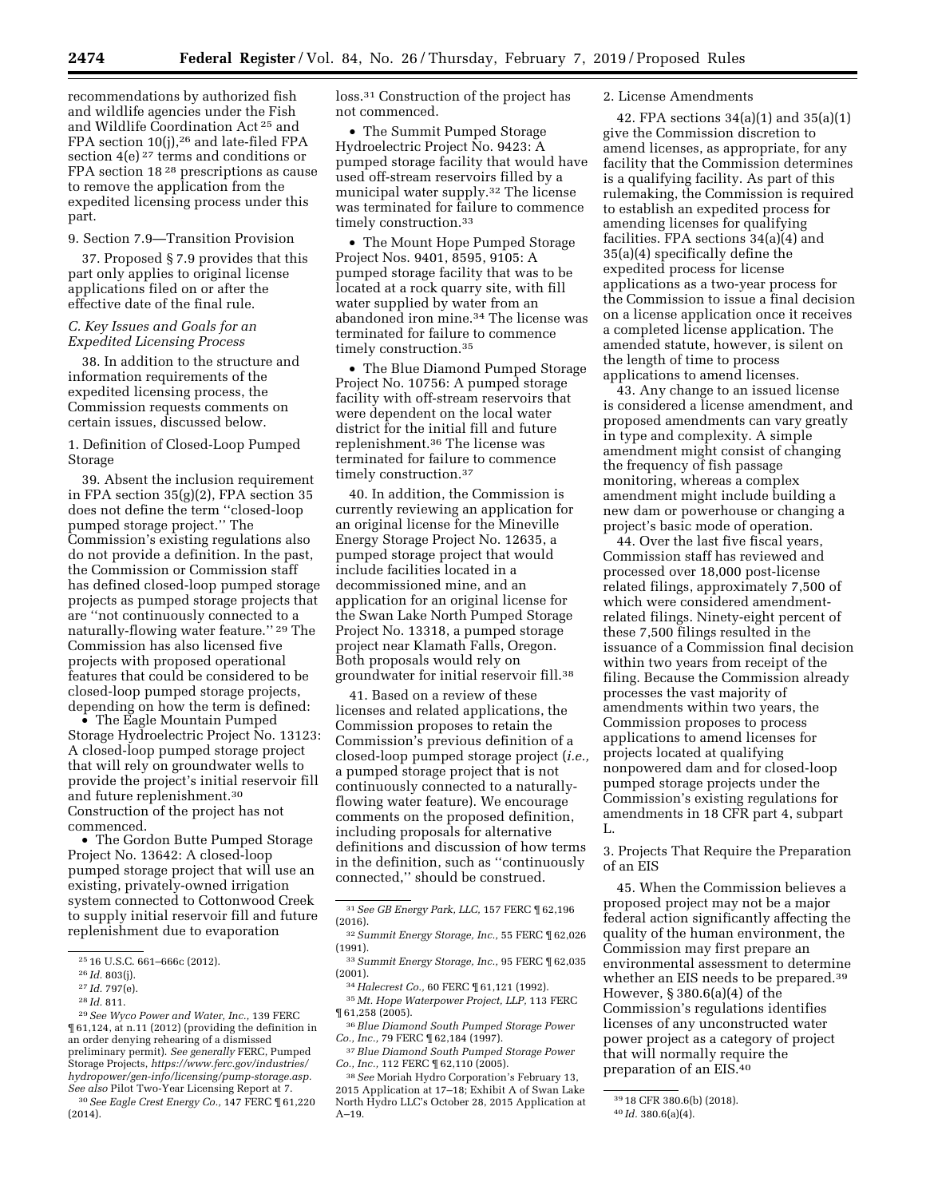recommendations by authorized fish and wildlife agencies under the Fish and Wildlife Coordination Act 25 and FPA section  $10(j)$ ,<sup>26</sup> and late-filed FPA section 4(e) 27 terms and conditions or FPA section 18 28 prescriptions as cause to remove the application from the expedited licensing process under this part.

# 9. Section 7.9—Transition Provision

37. Proposed § 7.9 provides that this part only applies to original license applications filed on or after the effective date of the final rule.

### *C. Key Issues and Goals for an Expedited Licensing Process*

38. In addition to the structure and information requirements of the expedited licensing process, the Commission requests comments on certain issues, discussed below.

1. Definition of Closed-Loop Pumped Storage

39. Absent the inclusion requirement in FPA section 35(g)(2), FPA section 35 does not define the term ''closed-loop pumped storage project.'' The Commission's existing regulations also do not provide a definition. In the past, the Commission or Commission staff has defined closed-loop pumped storage projects as pumped storage projects that are ''not continuously connected to a naturally-flowing water feature.'' 29 The Commission has also licensed five projects with proposed operational features that could be considered to be closed-loop pumped storage projects, depending on how the term is defined:

• The Eagle Mountain Pumped Storage Hydroelectric Project No. 13123: A closed-loop pumped storage project that will rely on groundwater wells to provide the project's initial reservoir fill and future replenishment.30 Construction of the project has not commenced.

• The Gordon Butte Pumped Storage Project No. 13642: A closed-loop pumped storage project that will use an existing, privately-owned irrigation system connected to Cottonwood Creek to supply initial reservoir fill and future replenishment due to evaporation

30*See Eagle Crest Energy Co.,* 147 FERC ¶ 61,220 (2014).

loss.31 Construction of the project has not commenced.

• The Summit Pumped Storage Hydroelectric Project No. 9423: A pumped storage facility that would have used off-stream reservoirs filled by a municipal water supply.32 The license was terminated for failure to commence timely construction.<sup>33</sup>

• The Mount Hope Pumped Storage Project Nos. 9401, 8595, 9105: A pumped storage facility that was to be located at a rock quarry site, with fill water supplied by water from an abandoned iron mine.34 The license was terminated for failure to commence timely construction.<sup>35</sup>

• The Blue Diamond Pumped Storage Project No. 10756: A pumped storage facility with off-stream reservoirs that were dependent on the local water district for the initial fill and future replenishment.36 The license was terminated for failure to commence timely construction.<sup>37</sup>

40. In addition, the Commission is currently reviewing an application for an original license for the Mineville Energy Storage Project No. 12635, a pumped storage project that would include facilities located in a decommissioned mine, and an application for an original license for the Swan Lake North Pumped Storage Project No. 13318, a pumped storage project near Klamath Falls, Oregon. Both proposals would rely on groundwater for initial reservoir fill.38

41. Based on a review of these licenses and related applications, the Commission proposes to retain the Commission's previous definition of a closed-loop pumped storage project (*i.e.,*  a pumped storage project that is not continuously connected to a naturallyflowing water feature). We encourage comments on the proposed definition, including proposals for alternative definitions and discussion of how terms in the definition, such as ''continuously connected,'' should be construed.

37*Blue Diamond South Pumped Storage Power Co., Inc.,* 112 FERC ¶ 62,110 (2005).

38*See* Moriah Hydro Corporation's February 13, 2015 Application at 17–18; Exhibit A of Swan Lake North Hydro LLC's October 28, 2015 Application at A–19.

## 2. License Amendments

42. FPA sections 34(a)(1) and 35(a)(1) give the Commission discretion to amend licenses, as appropriate, for any facility that the Commission determines is a qualifying facility. As part of this rulemaking, the Commission is required to establish an expedited process for amending licenses for qualifying facilities. FPA sections 34(a)(4) and 35(a)(4) specifically define the expedited process for license applications as a two-year process for the Commission to issue a final decision on a license application once it receives a completed license application. The amended statute, however, is silent on the length of time to process applications to amend licenses.

43. Any change to an issued license is considered a license amendment, and proposed amendments can vary greatly in type and complexity. A simple amendment might consist of changing the frequency of fish passage monitoring, whereas a complex amendment might include building a new dam or powerhouse or changing a project's basic mode of operation.

44. Over the last five fiscal years, Commission staff has reviewed and processed over 18,000 post-license related filings, approximately 7,500 of which were considered amendmentrelated filings. Ninety-eight percent of these 7,500 filings resulted in the issuance of a Commission final decision within two years from receipt of the filing. Because the Commission already processes the vast majority of amendments within two years, the Commission proposes to process applications to amend licenses for projects located at qualifying nonpowered dam and for closed-loop pumped storage projects under the Commission's existing regulations for amendments in 18 CFR part 4, subpart L.

3. Projects That Require the Preparation of an EIS

45. When the Commission believes a proposed project may not be a major federal action significantly affecting the quality of the human environment, the Commission may first prepare an environmental assessment to determine whether an EIS needs to be prepared.<sup>39</sup> However, § 380.6(a)(4) of the Commission's regulations identifies licenses of any unconstructed water power project as a category of project that will normally require the preparation of an EIS.40

<sup>25</sup> 16 U.S.C. 661–666c (2012).

<sup>26</sup> *Id.* 803(j).

<sup>27</sup> *Id.* 797(e).

<sup>28</sup> *Id.* 811.

<sup>29</sup>*See Wyco Power and Water, Inc.,* 139 FERC ¶ 61,124, at n.11 (2012) (providing the definition in an order denying rehearing of a dismissed preliminary permit). *See generally* FERC, Pumped Storage Projects, *[https://www.ferc.gov/industries/](https://www.ferc.gov/industries/hydropower/gen-info/licensing/pump-storage.asp)  [hydropower/gen-info/licensing/pump-storage.asp.](https://www.ferc.gov/industries/hydropower/gen-info/licensing/pump-storage.asp) See also* Pilot Two-Year Licensing Report at 7.

<sup>31</sup>*See GB Energy Park, LLC,* 157 FERC ¶ 62,196 (2016).

<sup>32</sup>*Summit Energy Storage, Inc.,* 55 FERC ¶ 62,026 (1991).

<sup>33</sup>*Summit Energy Storage, Inc.,* 95 FERC ¶ 62,035 (2001).

<sup>34</sup>*Halecrest Co.,* 60 FERC ¶ 61,121 (1992).

<sup>35</sup> *Mt. Hope Waterpower Project, LLP,* 113 FERC ¶ 61,258 (2005).

<sup>36</sup>*Blue Diamond South Pumped Storage Power Co., Inc., 79 FERC*  $\P$  62,184 (1997).

<sup>39</sup> 18 CFR 380.6(b) (2018).

<sup>40</sup> *Id.* 380.6(a)(4).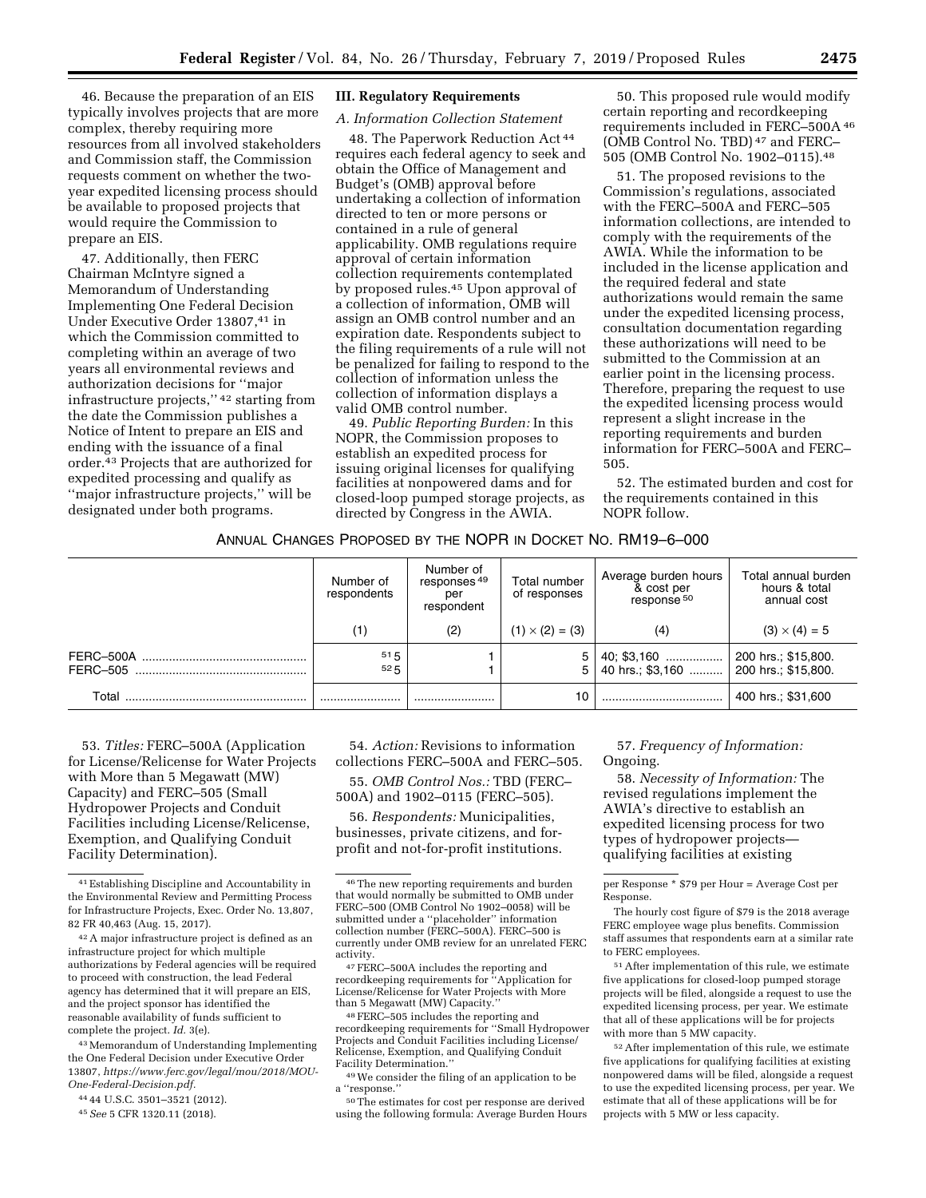46. Because the preparation of an EIS typically involves projects that are more complex, thereby requiring more resources from all involved stakeholders and Commission staff, the Commission requests comment on whether the twoyear expedited licensing process should be available to proposed projects that would require the Commission to prepare an EIS.

47. Additionally, then FERC Chairman McIntyre signed a Memorandum of Understanding Implementing One Federal Decision Under Executive Order 13807,<sup>41</sup> in which the Commission committed to completing within an average of two years all environmental reviews and authorization decisions for ''major infrastructure projects,'' 42 starting from the date the Commission publishes a Notice of Intent to prepare an EIS and ending with the issuance of a final order.43 Projects that are authorized for expedited processing and qualify as ''major infrastructure projects,'' will be designated under both programs.

## **III. Regulatory Requirements**

## *A. Information Collection Statement*

48. The Paperwork Reduction Act 44 requires each federal agency to seek and obtain the Office of Management and Budget's (OMB) approval before undertaking a collection of information directed to ten or more persons or contained in a rule of general applicability. OMB regulations require approval of certain information collection requirements contemplated by proposed rules.45 Upon approval of a collection of information, OMB will assign an OMB control number and an expiration date. Respondents subject to the filing requirements of a rule will not be penalized for failing to respond to the collection of information unless the collection of information displays a valid OMB control number.

49. *Public Reporting Burden:* In this NOPR, the Commission proposes to establish an expedited process for issuing original licenses for qualifying facilities at nonpowered dams and for closed-loop pumped storage projects, as directed by Congress in the AWIA.

50. This proposed rule would modify certain reporting and recordkeeping requirements included in FERC–500A 46 (OMB Control No. TBD) 47 and FERC– 505 (OMB Control No. 1902–0115).48

51. The proposed revisions to the Commission's regulations, associated with the FERC–500A and FERC–505 information collections, are intended to comply with the requirements of the AWIA. While the information to be included in the license application and the required federal and state authorizations would remain the same under the expedited licensing process, consultation documentation regarding these authorizations will need to be submitted to the Commission at an earlier point in the licensing process. Therefore, preparing the request to use the expedited licensing process would represent a slight increase in the reporting requirements and burden information for FERC–500A and FERC– 505.

52. The estimated burden and cost for the requirements contained in this NOPR follow.

## ANNUAL CHANGES PROPOSED BY THE NOPR IN DOCKET NO. RM19–6–000

|                       | Number of<br>respondents | Number of<br>responses <sup>49</sup><br>per<br>respondent | Total number<br>of responses | Average burden hours<br>& cost per<br>response <sup>50</sup> | Total annual burden<br>hours & total<br>annual cost |
|-----------------------|--------------------------|-----------------------------------------------------------|------------------------------|--------------------------------------------------------------|-----------------------------------------------------|
|                       | (1)                      | (2)                                                       | $(1) \times (2) = (3)$       | (4)                                                          | $(3) \times (4) = 5$                                |
| FERC-500A<br>FERC-505 | 515<br>525               |                                                           | 5                            | 40 hrs.; \$3,160  200 hrs.; \$15,800.                        |                                                     |
| Total                 |                          |                                                           | 10                           |                                                              | 400 hrs.; \$31,600                                  |

53. *Titles:* FERC–500A (Application for License/Relicense for Water Projects with More than 5 Megawatt (MW) Capacity) and FERC–505 (Small Hydropower Projects and Conduit Facilities including License/Relicense, Exemption, and Qualifying Conduit Facility Determination).

42A major infrastructure project is defined as an infrastructure project for which multiple authorizations by Federal agencies will be required to proceed with construction, the lead Federal agency has determined that it will prepare an EIS, and the project sponsor has identified the reasonable availability of funds sufficient to complete the project. *Id.* 3(e).

43Memorandum of Understanding Implementing the One Federal Decision under Executive Order 13807, *[https://www.ferc.gov/legal/mou/2018/MOU-](https://www.ferc.gov/legal/mou/2018/MOU-One-Federal-Decision.pdf)[One-Federal-Decision.pdf.](https://www.ferc.gov/legal/mou/2018/MOU-One-Federal-Decision.pdf)* 

44 44 U.S.C. 3501–3521 (2012).

45*See* 5 CFR 1320.11 (2018).

54. *Action:* Revisions to information collections FERC–500A and FERC–505.

55. *OMB Control Nos.:* TBD (FERC– 500A) and 1902–0115 (FERC–505).

56. *Respondents:* Municipalities, businesses, private citizens, and forprofit and not-for-profit institutions.

activity.<br>- <sup>47</sup> FERC–500A includes the reporting and<br>recordkeeping requirements for ''Application for License/Relicense for Water Projects with More

 $^{48}\rm \, FERC-505$  includes the reporting and recordkeeping requirements for ''Small Hydropower Projects and Conduit Facilities including License/ Relicense, Exemption, and Qualifying Conduit

Facility Determination.''<br><sup>49</sup>We consider the filing of an application to be<br>a "response.''

<sup>50</sup>The estimates for cost per response are derived using the following formula: Average Burden Hours

57. *Frequency of Information:*  Ongoing.

58. *Necessity of Information:* The revised regulations implement the AWIA's directive to establish an expedited licensing process for two types of hydropower projects qualifying facilities at existing

per Response \* \$79 per Hour = Average Cost per Response.

The hourly cost figure of \$79 is the 2018 average FERC employee wage plus benefits. Commission staff assumes that respondents earn at a similar rate to FERC employees.

51After implementation of this rule, we estimate five applications for closed-loop pumped storage projects will be filed, alongside a request to use the expedited licensing process, per year. We estimate that all of these applications will be for projects with more than 5 MW capacity.

52After implementation of this rule, we estimate five applications for qualifying facilities at existing nonpowered dams will be filed, alongside a request to use the expedited licensing process, per year. We estimate that all of these applications will be for projects with 5 MW or less capacity.

<sup>41</sup>Establishing Discipline and Accountability in the Environmental Review and Permitting Process for Infrastructure Projects, Exec. Order No. 13,807, 82 FR 40,463 (Aug. 15, 2017).

<sup>46</sup>The new reporting requirements and burden that would normally be submitted to OMB under FERC–500 (OMB Control No 1902–0058) will be submitted under a ''placeholder'' information collection number (FERC–500A). FERC–500 is currently under OMB review for an unrelated FERC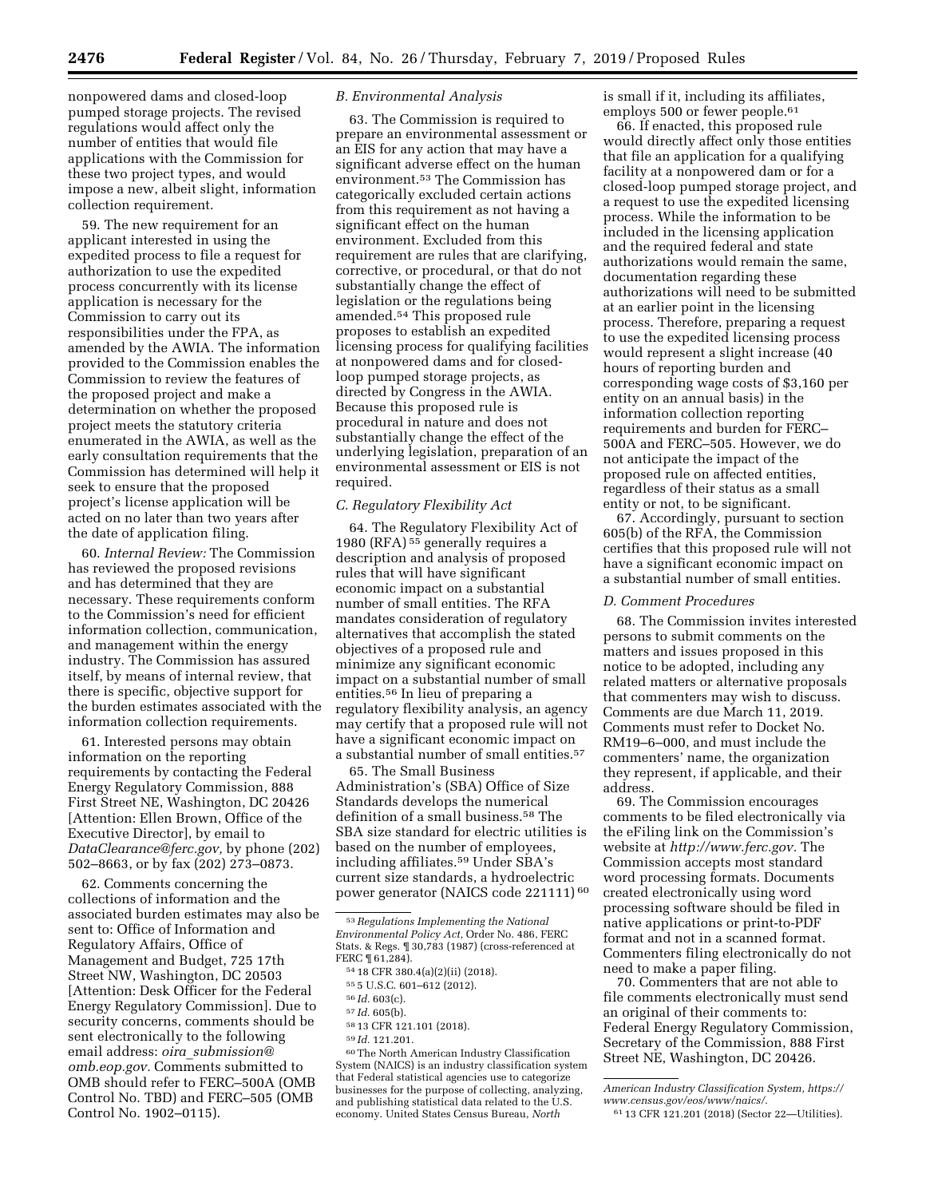nonpowered dams and closed-loop pumped storage projects. The revised regulations would affect only the number of entities that would file applications with the Commission for these two project types, and would impose a new, albeit slight, information collection requirement.

59. The new requirement for an applicant interested in using the expedited process to file a request for authorization to use the expedited process concurrently with its license application is necessary for the Commission to carry out its responsibilities under the FPA, as amended by the AWIA. The information provided to the Commission enables the Commission to review the features of the proposed project and make a determination on whether the proposed project meets the statutory criteria enumerated in the AWIA, as well as the early consultation requirements that the Commission has determined will help it seek to ensure that the proposed project's license application will be acted on no later than two years after the date of application filing.

60. *Internal Review:* The Commission has reviewed the proposed revisions and has determined that they are necessary. These requirements conform to the Commission's need for efficient information collection, communication, and management within the energy industry. The Commission has assured itself, by means of internal review, that there is specific, objective support for the burden estimates associated with the information collection requirements.

61. Interested persons may obtain information on the reporting requirements by contacting the Federal Energy Regulatory Commission, 888 First Street NE, Washington, DC 20426 [Attention: Ellen Brown, Office of the Executive Director], by email to *[DataClearance@ferc.gov,](mailto:DataClearance@ferc.gov)* by phone (202) 502–8663, or by fax (202) 273–0873.

62. Comments concerning the collections of information and the associated burden estimates may also be sent to: Office of Information and Regulatory Affairs, Office of Management and Budget, 725 17th Street NW, Washington, DC 20503 [Attention: Desk Officer for the Federal Energy Regulatory Commission]. Due to security concerns, comments should be sent electronically to the following email address: *oira*\_*[submission@](mailto:oira_submission@omb.eop.gov) [omb.eop.gov.](mailto:oira_submission@omb.eop.gov)* Comments submitted to OMB should refer to FERC–500A (OMB Control No. TBD) and FERC–505 (OMB Control No. 1902–0115).

## *B. Environmental Analysis*

63. The Commission is required to prepare an environmental assessment or an EIS for any action that may have a significant adverse effect on the human environment.53 The Commission has categorically excluded certain actions from this requirement as not having a significant effect on the human environment. Excluded from this requirement are rules that are clarifying, corrective, or procedural, or that do not substantially change the effect of legislation or the regulations being amended.54 This proposed rule proposes to establish an expedited licensing process for qualifying facilities at nonpowered dams and for closedloop pumped storage projects, as directed by Congress in the AWIA. Because this proposed rule is procedural in nature and does not substantially change the effect of the underlying legislation, preparation of an environmental assessment or EIS is not required.

## *C. Regulatory Flexibility Act*

64. The Regulatory Flexibility Act of 1980 (RFA) 55 generally requires a description and analysis of proposed rules that will have significant economic impact on a substantial number of small entities. The RFA mandates consideration of regulatory alternatives that accomplish the stated objectives of a proposed rule and minimize any significant economic impact on a substantial number of small entities.56 In lieu of preparing a regulatory flexibility analysis, an agency may certify that a proposed rule will not have a significant economic impact on a substantial number of small entities.57

65. The Small Business Administration's (SBA) Office of Size Standards develops the numerical definition of a small business.58 The SBA size standard for electric utilities is based on the number of employees, including affiliates.59 Under SBA's current size standards, a hydroelectric power generator (NAICS code 221111) 60

60The North American Industry Classification System (NAICS) is an industry classification system that Federal statistical agencies use to categorize businesses for the purpose of collecting, analyzing, and publishing statistical data related to the U.S. economy. United States Census Bureau, *North* 

is small if it, including its affiliates, employs 500 or fewer people.61

66. If enacted, this proposed rule would directly affect only those entities that file an application for a qualifying facility at a nonpowered dam or for a closed-loop pumped storage project, and a request to use the expedited licensing process. While the information to be included in the licensing application and the required federal and state authorizations would remain the same, documentation regarding these authorizations will need to be submitted at an earlier point in the licensing process. Therefore, preparing a request to use the expedited licensing process would represent a slight increase (40 hours of reporting burden and corresponding wage costs of \$3,160 per entity on an annual basis) in the information collection reporting requirements and burden for FERC– 500A and FERC–505. However, we do not anticipate the impact of the proposed rule on affected entities, regardless of their status as a small entity or not, to be significant.

67. Accordingly, pursuant to section 605(b) of the RFA, the Commission certifies that this proposed rule will not have a significant economic impact on a substantial number of small entities.

## *D. Comment Procedures*

68. The Commission invites interested persons to submit comments on the matters and issues proposed in this notice to be adopted, including any related matters or alternative proposals that commenters may wish to discuss. Comments are due March 11, 2019. Comments must refer to Docket No. RM19–6–000, and must include the commenters' name, the organization they represent, if applicable, and their address.

69. The Commission encourages comments to be filed electronically via the eFiling link on the Commission's website at *[http://www.ferc.gov.](http://www.ferc.gov)* The Commission accepts most standard word processing formats. Documents created electronically using word processing software should be filed in native applications or print-to-PDF format and not in a scanned format. Commenters filing electronically do not need to make a paper filing.

70. Commenters that are not able to file comments electronically must send an original of their comments to: Federal Energy Regulatory Commission, Secretary of the Commission, 888 First Street NE, Washington, DC 20426.

<sup>53</sup>*Regulations Implementing the National Environmental Policy Act,* Order No. 486, FERC Stats. & Regs. ¶ 30,783 (1987) (cross-referenced at FERC ¶ 61,284).

<sup>54</sup> 18 CFR 380.4(a)(2)(ii) (2018).

<sup>55</sup> 5 U.S.C. 601–612 (2012).

<sup>56</sup> *Id.* 603(c).

<sup>57</sup> *Id.* 605(b).

<sup>58</sup> 13 CFR 121.101 (2018).

<sup>59</sup> *Id.* 121.201.

*American Industry Classification System, [https://](https://www.census.gov/eos/www/naics/) [www.census.gov/eos/www/naics/.](https://www.census.gov/eos/www/naics/)* 

<sup>61</sup> 13 CFR 121.201 (2018) (Sector 22—Utilities).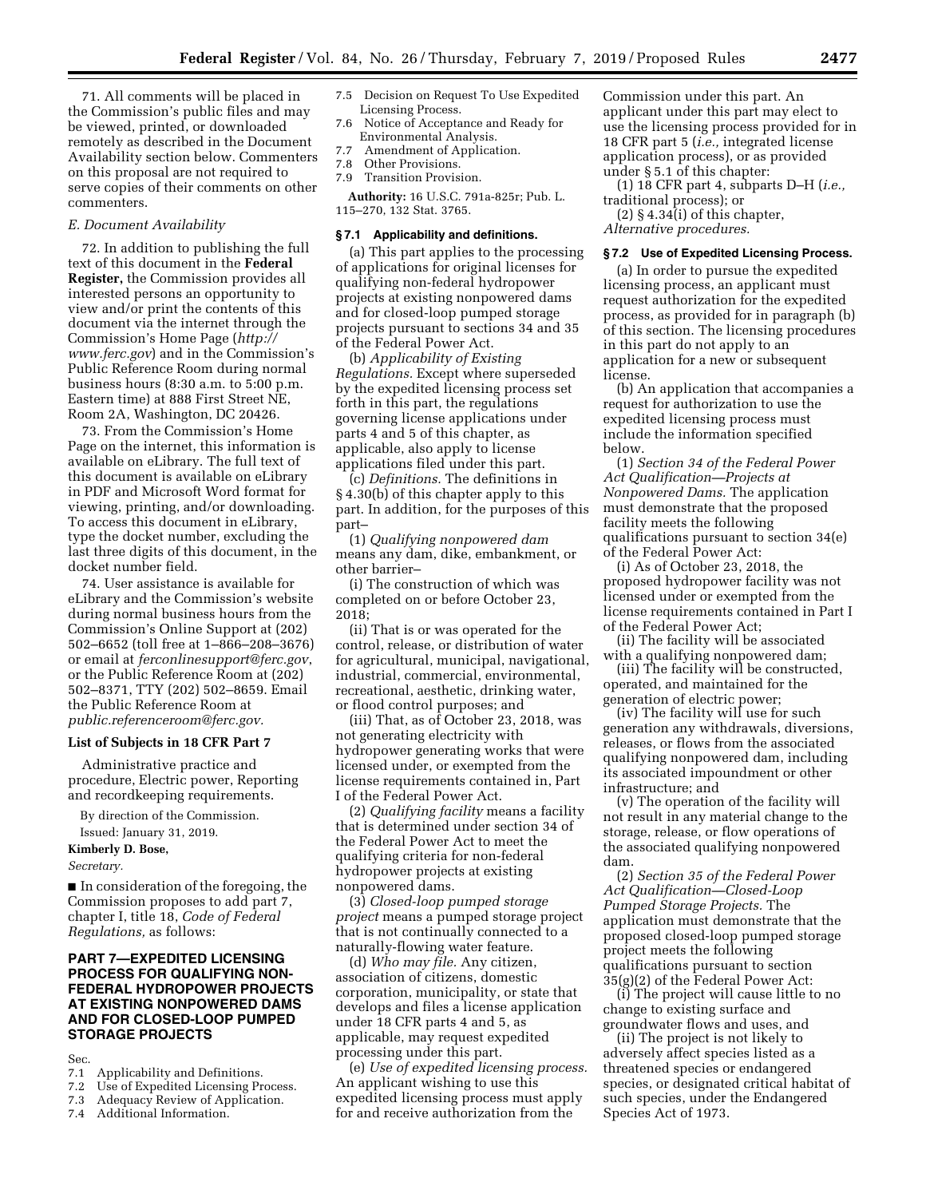71. All comments will be placed in the Commission's public files and may be viewed, printed, or downloaded remotely as described in the Document Availability section below. Commenters on this proposal are not required to serve copies of their comments on other commenters.

### *E. Document Availability*

72. In addition to publishing the full text of this document in the **Federal Register,** the Commission provides all interested persons an opportunity to view and/or print the contents of this document via the internet through the Commission's Home Page (*[http://](http://www.ferc.gov) [www.ferc.gov](http://www.ferc.gov)*) and in the Commission's Public Reference Room during normal business hours (8:30 a.m. to 5:00 p.m. Eastern time) at 888 First Street NE, Room 2A, Washington, DC 20426.

73. From the Commission's Home Page on the internet, this information is available on eLibrary. The full text of this document is available on eLibrary in PDF and Microsoft Word format for viewing, printing, and/or downloading. To access this document in eLibrary, type the docket number, excluding the last three digits of this document, in the docket number field.

74. User assistance is available for eLibrary and the Commission's website during normal business hours from the Commission's Online Support at (202) 502–6652 (toll free at 1–866–208–3676) or email at *[ferconlinesupport@ferc.gov](mailto:ferconlinesupport@ferc.gov)*, or the Public Reference Room at (202) 502–8371, TTY (202) 502–8659. Email the Public Reference Room at *[public.referenceroom@ferc.gov.](mailto:public.referenceroom@ferc.gov)* 

#### **List of Subjects in 18 CFR Part 7**

Administrative practice and procedure, Electric power, Reporting and recordkeeping requirements.

By direction of the Commission. Issued: January 31, 2019.

# **Kimberly D. Bose,**

## *Secretary.*

■ In consideration of the foregoing, the Commission proposes to add part 7, chapter I, title 18, *Code of Federal Regulations,* as follows:

## **PART 7—EXPEDITED LICENSING PROCESS FOR QUALIFYING NON-FEDERAL HYDROPOWER PROJECTS AT EXISTING NONPOWERED DAMS AND FOR CLOSED-LOOP PUMPED STORAGE PROJECTS**

Sec.

- 7.1 Applicability and Definitions.<br>7.2 Use of Expedited Licensing Pro
- Use of Expedited Licensing Process.
- 7.3 Adequacy Review of Application.
- Additional Information.
- 7.5 Decision on Request To Use Expedited Licensing Process.
- 7.6 Notice of Acceptance and Ready for Environmental Analysis.
- 7.7 Amendment of Application.<br>7.8 Other Provisions.
- Other Provisions.
- 7.9 Transition Provision.

**Authority:** 16 U.S.C. 791a-825r; Pub. L. 115–270, 132 Stat. 3765.

### **§ 7.1 Applicability and definitions.**

(a) This part applies to the processing of applications for original licenses for qualifying non-federal hydropower projects at existing nonpowered dams and for closed-loop pumped storage projects pursuant to sections 34 and 35 of the Federal Power Act.

(b) *Applicability of Existing Regulations.* Except where superseded by the expedited licensing process set forth in this part, the regulations governing license applications under parts 4 and 5 of this chapter, as applicable, also apply to license applications filed under this part.

(c) *Definitions.* The definitions in § 4.30(b) of this chapter apply to this part. In addition, for the purposes of this part–

(1) *Qualifying nonpowered dam*  means any dam, dike, embankment, or other barrier–

(i) The construction of which was completed on or before October 23, 2018;

(ii) That is or was operated for the control, release, or distribution of water for agricultural, municipal, navigational, industrial, commercial, environmental, recreational, aesthetic, drinking water, or flood control purposes; and

(iii) That, as of October 23, 2018, was not generating electricity with hydropower generating works that were licensed under, or exempted from the license requirements contained in, Part I of the Federal Power Act.

(2) *Qualifying facility* means a facility that is determined under section 34 of the Federal Power Act to meet the qualifying criteria for non-federal hydropower projects at existing nonpowered dams.

(3) *Closed-loop pumped storage project* means a pumped storage project that is not continually connected to a naturally-flowing water feature.

(d) *Who may file.* Any citizen, association of citizens, domestic corporation, municipality, or state that develops and files a license application under 18 CFR parts 4 and 5, as applicable, may request expedited processing under this part.

(e) *Use of expedited licensing process.*  An applicant wishing to use this expedited licensing process must apply for and receive authorization from the

Commission under this part. An applicant under this part may elect to use the licensing process provided for in 18 CFR part 5 (*i.e.,* integrated license application process), or as provided under § 5.1 of this chapter:

(1) 18 CFR part 4, subparts D–H (*i.e.,*  traditional process); or

 $(2)$  § 4.34(i) of this chapter, *Alternative procedures.* 

#### **§ 7.2 Use of Expedited Licensing Process.**

(a) In order to pursue the expedited licensing process, an applicant must request authorization for the expedited process, as provided for in paragraph (b) of this section. The licensing procedures in this part do not apply to an application for a new or subsequent license.

(b) An application that accompanies a request for authorization to use the expedited licensing process must include the information specified below.

(1) *Section 34 of the Federal Power Act Qualification—Projects at Nonpowered Dams.* The application must demonstrate that the proposed facility meets the following qualifications pursuant to section 34(e) of the Federal Power Act:

(i) As of October 23, 2018, the proposed hydropower facility was not licensed under or exempted from the license requirements contained in Part I of the Federal Power Act;

(ii) The facility will be associated with a qualifying nonpowered dam;

(iii) The facility will be constructed, operated, and maintained for the generation of electric power;

(iv) The facility will use for such generation any withdrawals, diversions, releases, or flows from the associated qualifying nonpowered dam, including its associated impoundment or other infrastructure; and

(v) The operation of the facility will not result in any material change to the storage, release, or flow operations of the associated qualifying nonpowered dam.

(2) *Section 35 of the Federal Power Act Qualification—Closed-Loop Pumped Storage Projects.* The application must demonstrate that the proposed closed-loop pumped storage project meets the following qualifications pursuant to section 35(g)(2) of the Federal Power Act:

(i) The project will cause little to no change to existing surface and groundwater flows and uses, and

(ii) The project is not likely to adversely affect species listed as a threatened species or endangered species, or designated critical habitat of such species, under the Endangered Species Act of 1973.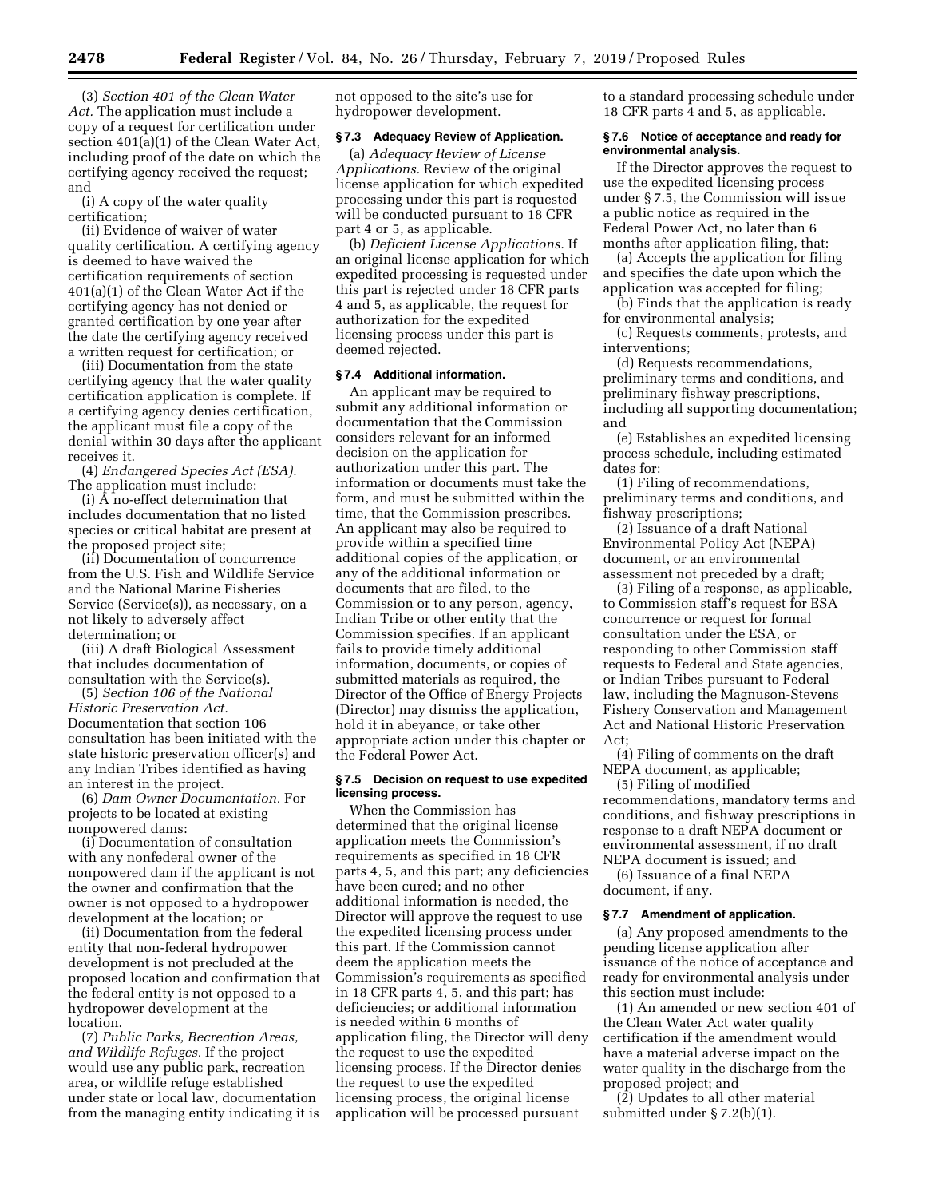(3) *Section 401 of the Clean Water Act.* The application must include a copy of a request for certification under section 401(a)(1) of the Clean Water Act, including proof of the date on which the certifying agency received the request; and

(i) A copy of the water quality certification;

(ii) Evidence of waiver of water quality certification. A certifying agency is deemed to have waived the certification requirements of section 401(a)(1) of the Clean Water Act if the certifying agency has not denied or granted certification by one year after the date the certifying agency received a written request for certification; or

(iii) Documentation from the state certifying agency that the water quality certification application is complete. If a certifying agency denies certification, the applicant must file a copy of the denial within 30 days after the applicant receives it.

(4) *Endangered Species Act (ESA).*  The application must include:

(i) A no-effect determination that includes documentation that no listed species or critical habitat are present at the proposed project site;

(ii) Documentation of concurrence from the U.S. Fish and Wildlife Service and the National Marine Fisheries Service (Service(s)), as necessary, on a not likely to adversely affect determination; or

(iii) A draft Biological Assessment that includes documentation of consultation with the Service(s).

(5) *Section 106 of the National Historic Preservation Act.*  Documentation that section 106 consultation has been initiated with the state historic preservation officer(s) and any Indian Tribes identified as having an interest in the project.

(6) *Dam Owner Documentation.* For projects to be located at existing nonpowered dams:

(i) Documentation of consultation with any nonfederal owner of the nonpowered dam if the applicant is not the owner and confirmation that the owner is not opposed to a hydropower development at the location; or

(ii) Documentation from the federal entity that non-federal hydropower development is not precluded at the proposed location and confirmation that the federal entity is not opposed to a hydropower development at the location.

(7) *Public Parks, Recreation Areas, and Wildlife Refuges.* If the project would use any public park, recreation area, or wildlife refuge established under state or local law, documentation from the managing entity indicating it is not opposed to the site's use for hydropower development.

## **§ 7.3 Adequacy Review of Application.**

(a) *Adequacy Review of License Applications.* Review of the original license application for which expedited processing under this part is requested will be conducted pursuant to 18 CFR part 4 or 5, as applicable.

(b) *Deficient License Applications.* If an original license application for which expedited processing is requested under this part is rejected under 18 CFR parts 4 and 5, as applicable, the request for authorization for the expedited licensing process under this part is deemed rejected.

### **§ 7.4 Additional information.**

An applicant may be required to submit any additional information or documentation that the Commission considers relevant for an informed decision on the application for authorization under this part. The information or documents must take the form, and must be submitted within the time, that the Commission prescribes. An applicant may also be required to provide within a specified time additional copies of the application, or any of the additional information or documents that are filed, to the Commission or to any person, agency, Indian Tribe or other entity that the Commission specifies. If an applicant fails to provide timely additional information, documents, or copies of submitted materials as required, the Director of the Office of Energy Projects (Director) may dismiss the application, hold it in abeyance, or take other appropriate action under this chapter or the Federal Power Act.

### **§ 7.5 Decision on request to use expedited licensing process.**

When the Commission has determined that the original license application meets the Commission's requirements as specified in 18 CFR parts 4, 5, and this part; any deficiencies have been cured; and no other additional information is needed, the Director will approve the request to use the expedited licensing process under this part. If the Commission cannot deem the application meets the Commission's requirements as specified in 18 CFR parts 4, 5, and this part; has deficiencies; or additional information is needed within 6 months of application filing, the Director will deny the request to use the expedited licensing process. If the Director denies the request to use the expedited licensing process, the original license application will be processed pursuant

to a standard processing schedule under 18 CFR parts 4 and 5, as applicable.

### **§ 7.6 Notice of acceptance and ready for environmental analysis.**

If the Director approves the request to use the expedited licensing process under § 7.5, the Commission will issue a public notice as required in the Federal Power Act, no later than 6 months after application filing, that:

(a) Accepts the application for filing and specifies the date upon which the application was accepted for filing;

(b) Finds that the application is ready for environmental analysis;

(c) Requests comments, protests, and interventions;

(d) Requests recommendations, preliminary terms and conditions, and preliminary fishway prescriptions, including all supporting documentation; and

(e) Establishes an expedited licensing process schedule, including estimated dates for:

(1) Filing of recommendations, preliminary terms and conditions, and fishway prescriptions;

(2) Issuance of a draft National Environmental Policy Act (NEPA) document, or an environmental assessment not preceded by a draft;

(3) Filing of a response, as applicable, to Commission staff's request for ESA concurrence or request for formal consultation under the ESA, or responding to other Commission staff requests to Federal and State agencies, or Indian Tribes pursuant to Federal law, including the Magnuson-Stevens Fishery Conservation and Management Act and National Historic Preservation Act;

(4) Filing of comments on the draft NEPA document, as applicable;

(5) Filing of modified recommendations, mandatory terms and conditions, and fishway prescriptions in response to a draft NEPA document or environmental assessment, if no draft NEPA document is issued; and

(6) Issuance of a final NEPA document, if any.

### **§ 7.7 Amendment of application.**

(a) Any proposed amendments to the pending license application after issuance of the notice of acceptance and ready for environmental analysis under this section must include:

(1) An amended or new section 401 of the Clean Water Act water quality certification if the amendment would have a material adverse impact on the water quality in the discharge from the proposed project; and

(2) Updates to all other material submitted under § 7.2(b)(1).